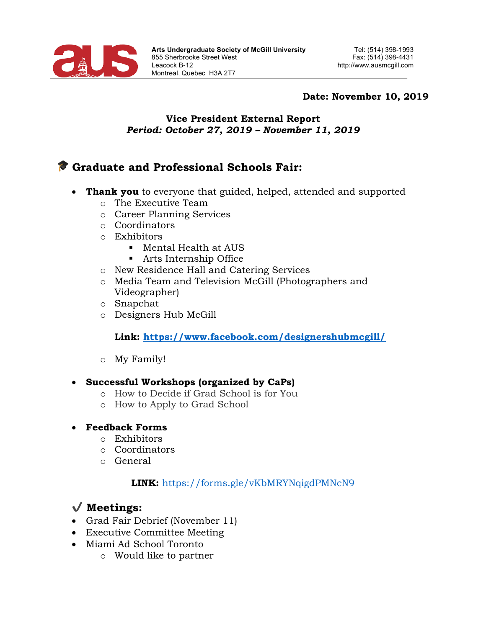

#### **Date: November 10, 2019**

#### **Vice President External Report** *Period: October 27, 2019 – November 11, 2019*

# **Graduate and Professional Schools Fair:**

- **Thank you** to everyone that guided, helped, attended and supported
	- o The Executive Team
	- o Career Planning Services
	- o Coordinators
	- o Exhibitors
		- § Mental Health at AUS
		- Arts Internship Office
	- o New Residence Hall and Catering Services
	- o Media Team and Television McGill (Photographers and Videographer)
	- o Snapchat
	- o Designers Hub McGill

### **Link: https://www.facebook.com/designershubmcgill/**

o My Family!

#### • **Successful Workshops (organized by CaPs)**

- o How to Decide if Grad School is for You
- o How to Apply to Grad School
- **Feedback Forms**
	- o Exhibitors
	- o Coordinators
	- o General

#### **LINK:** https://forms.gle/vKbMRYNqigdPMNcN9

# ✔ **Meetings:**

- Grad Fair Debrief (November 11)
- Executive Committee Meeting
- Miami Ad School Toronto
	- o Would like to partner